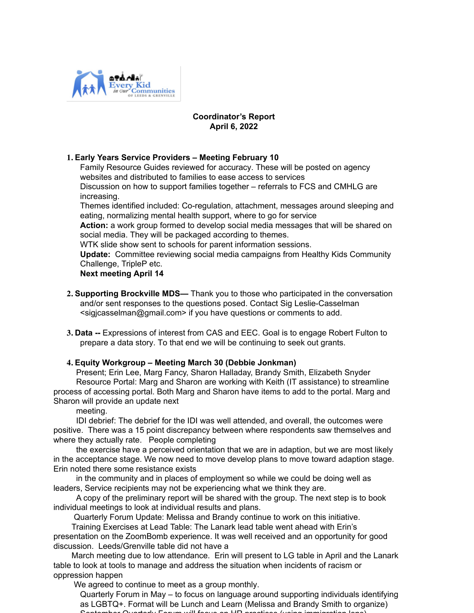

#### **Coordinator's Report April 6, 2022**

## **1. Early Years Service Providers – Meeting February 10**

Family Resource Guides reviewed for accuracy. These will be posted on agency websites and distributed to families to ease access to services Discussion on how to support families together – referrals to FCS and CMHLG are increasing.

Themes identified included: Co-regulation, attachment, messages around sleeping and eating, normalizing mental health support, where to go for service

**Action:** a work group formed to develop social media messages that will be shared on social media. They will be packaged according to themes.

WTK slide show sent to schools for parent information sessions.

**Update:** Committee reviewing social media campaigns from Healthy Kids Community Challenge, TripleP etc.

## **Next meeting April 14**

- **2. Supporting Brockville MDS—** Thank you to those who participated in the conversation and/or sent responses to the questions posed. Contact Sig Leslie-Casselman <sigjcasselman@gmail.com> if you have questions or comments to add.
- **3. Data --** Expressions of interest from CAS and EEC. Goal is to engage Robert Fulton to prepare a data story. To that end we will be continuing to seek out grants.

# **4. Equity Workgroup – Meeting March 30 (Debbie Jonkman)**

 Present; Erin Lee, Marg Fancy, Sharon Halladay, Brandy Smith, Elizabeth Snyder Resource Portal: Marg and Sharon are working with Keith (IT assistance) to streamline process of accessing portal. Both Marg and Sharon have items to add to the portal. Marg and Sharon will provide an update next

meeting.

 IDI debrief: The debrief for the IDI was well attended, and overall, the outcomes were positive. There was a 15 point discrepancy between where respondents saw themselves and where they actually rate. People completing

 the exercise have a perceived orientation that we are in adaption, but we are most likely in the acceptance stage. We now need to move develop plans to move toward adaption stage. Erin noted there some resistance exists

 in the community and in places of employment so while we could be doing well as leaders, Service recipients may not be experiencing what we think they are.

 A copy of the preliminary report will be shared with the group. The next step is to book individual meetings to look at individual results and plans.

Quarterly Forum Update: Melissa and Brandy continue to work on this initiative.

Training Exercises at Lead Table: The Lanark lead table went ahead with Erin's

presentation on the ZoomBomb experience. It was well received and an opportunity for good discussion. Leeds/Grenville table did not have a

 March meeting due to low attendance. Erin will present to LG table in April and the Lanark table to look at tools to manage and address the situation when incidents of racism or oppression happen

We agreed to continue to meet as a group monthly.

Quarterly Forum in May – to focus on language around supporting individuals identifying as LGBTQ+. Format will be Lunch and Learn (Melissa and Brandy Smith to organize) September Quarterly Forum will focus on HR practices (using immigration lens).